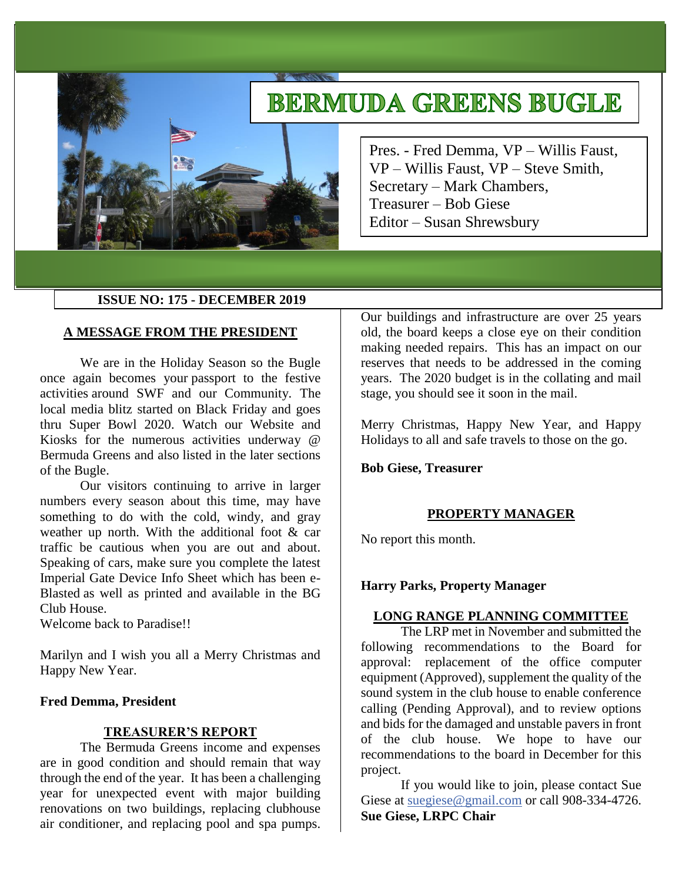# **BERMUDA GREENS BUGLE**

Pres. - Fred Demma, VP – Willis Faust, VP – Willis Faust, VP – Steve Smith, Secretary – Mark Chambers, Treasurer – Bob Giese Editor – Susan Shrewsbury

#### **ISSUE NO: 175 - DECEMBER 2019**

#### **A MESSAGE FROM THE PRESIDENT**

We are in the Holiday Season so the Bugle once again becomes your passport to the festive activities around SWF and our Community. The local media blitz started on Black Friday and goes thru Super Bowl 2020. Watch our Website and Kiosks for the numerous activities underway @ Bermuda Greens and also listed in the later sections of the Bugle.

Our visitors continuing to arrive in larger numbers every season about this time, may have something to do with the cold, windy, and gray weather up north. With the additional foot & car traffic be cautious when you are out and about. Speaking of cars, make sure you complete the latest Imperial Gate Device Info Sheet which has been e-Blasted as well as printed and available in the BG Club House.

Welcome back to Paradise!!

Marilyn and I wish you all a Merry Christmas and Happy New Year.

#### **Fred Demma, President**

#### **TREASURER'S REPORT**

The Bermuda Greens income and expenses are in good condition and should remain that way through the end of the year. It has been a challenging year for unexpected event with major building renovations on two buildings, replacing clubhouse air conditioner, and replacing pool and spa pumps.

Our buildings and infrastructure are over 25 years old, the board keeps a close eye on their condition making needed repairs. This has an impact on our reserves that needs to be addressed in the coming years. The 2020 budget is in the collating and mail stage, you should see it soon in the mail.

Merry Christmas, Happy New Year, and Happy Holidays to all and safe travels to those on the go.

**Bob Giese, Treasurer** 

# **PROPERTY MANAGER**

No report this month.

# **Harry Parks, Property Manager**

#### **LONG RANGE PLANNING COMMITTEE**

The LRP met in November and submitted the following recommendations to the Board for approval: replacement of the office computer equipment (Approved), supplement the quality of the sound system in the club house to enable conference calling (Pending Approval), and to review options and bids for the damaged and unstable pavers in front of the club house. We hope to have our recommendations to the board in December for this project.

If you would like to join, please contact Sue Giese at [suegiese@gmail.com](mailto:suegiese@gmail.com) or call 908-334-4726. **Sue Giese, LRPC Chair**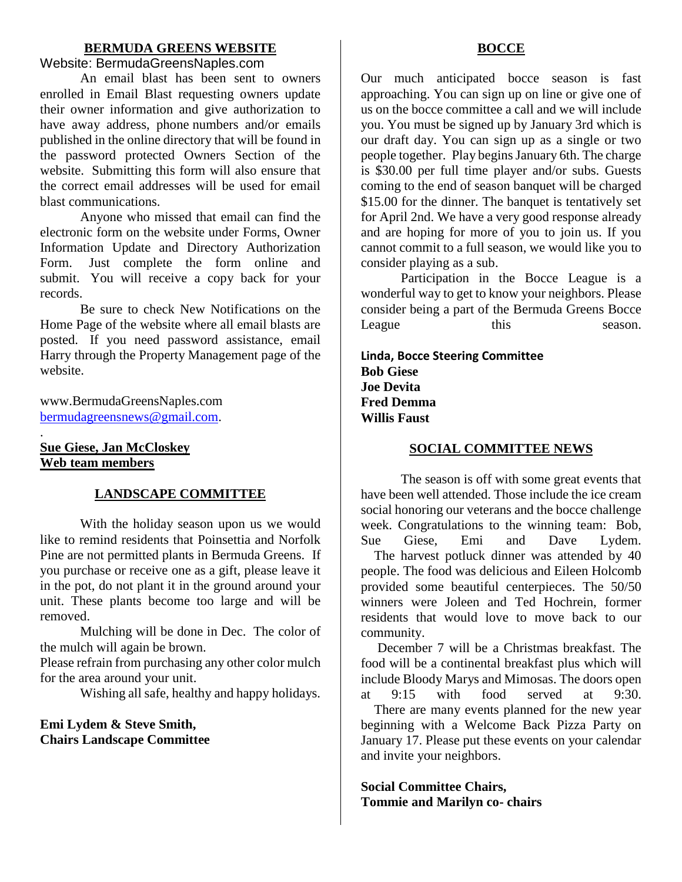# **BERMUDA GREENS WEBSITE**

#### Website: BermudaGreensNaples.com

An email blast has been sent to owners enrolled in Email Blast requesting owners update their owner information and give authorization to have away address, phone numbers and/or emails published in the online directory that will be found in the password protected Owners Section of the website. Submitting this form will also ensure that the correct email addresses will be used for email blast communications.

Anyone who missed that email can find the electronic form on the website under Forms, Owner Information Update and Directory Authorization Form. Just complete the form online and submit. You will receive a copy back for your records.

Be sure to check New Notifications on the Home Page of the website where all email blasts are posted. If you need password assistance, email Harry through the Property Management page of the website.

www.BermudaGreensNaples.com [bermudagreensnews@gmail.com.](mailto:bermudagreensnews@gmail.com)

# **Sue Giese, Jan McCloskey Web team members**

.

# **LANDSCAPE COMMITTEE**

With the holiday season upon us we would like to remind residents that Poinsettia and Norfolk Pine are not permitted plants in Bermuda Greens. If you purchase or receive one as a gift, please leave it in the pot, do not plant it in the ground around your unit. These plants become too large and will be removed.

Mulching will be done in Dec. The color of the mulch will again be brown.

Please refrain from purchasing any other color mulch for the area around your unit.

Wishing all safe, healthy and happy holidays.

# **Emi Lydem & Steve Smith, Chairs Landscape Committee**

#### **BOCCE**

Our much anticipated bocce season is fast approaching. You can sign up on line or give one of us on the bocce committee a call and we will include you. You must be signed up by January 3rd which is our draft day. You can sign up as a single or two people together. Play begins January 6th. The charge is \$30.00 per full time player and/or subs. Guests coming to the end of season banquet will be charged \$15.00 for the dinner. The banquet is tentatively set for April 2nd. We have a very good response already and are hoping for more of you to join us. If you cannot commit to a full season, we would like you to consider playing as a sub.

Participation in the Bocce League is a wonderful way to get to know your neighbors. Please consider being a part of the Bermuda Greens Bocce League this season.

**Linda, Bocce Steering Committee Bob Giese Joe Devita Fred Demma Willis Faust**

#### **SOCIAL COMMITTEE NEWS**

The season is off with some great events that have been well attended. Those include the ice cream social honoring our veterans and the bocce challenge week. Congratulations to the winning team: Bob, Sue Giese, Emi and Dave Lydem. The harvest potluck dinner was attended by 40 people. The food was delicious and Eileen Holcomb provided some beautiful centerpieces. The 50/50 winners were Joleen and Ted Hochrein, former residents that would love to move back to our community.

 December 7 will be a Christmas breakfast. The food will be a continental breakfast plus which will include Bloody Marys and Mimosas. The doors open at 9:15 with food served at 9:30.

 There are many events planned for the new year beginning with a Welcome Back Pizza Party on January 17. Please put these events on your calendar and invite your neighbors.

**Social Committee Chairs, Tommie and Marilyn co- chairs**